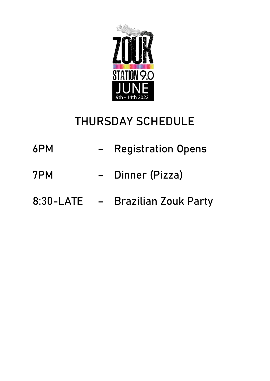

## **THURSDAY SCHEDULE**

- 6PM Registration Opens
- 7PM Dinner (Pizza)
- 8:30-LATE Brazilian Zouk Party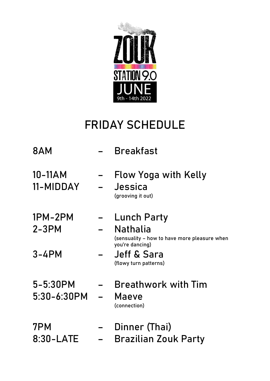

### **FRIDAY SCHEDULE**

| 8AM                              | <b>Breakfast</b>                                                                                                                                            |
|----------------------------------|-------------------------------------------------------------------------------------------------------------------------------------------------------------|
| 10-11AM<br>11-MIDDAY             | <b>Flow Yoga with Kelly</b><br>Jessica<br>(grooving it out)                                                                                                 |
| 1PM-2PM<br>$2 - 3 PM$<br>$3-4PM$ | <b>Lunch Party</b><br><b>Nathalia</b><br>(sensuality - how to have more pleasure when<br>you're dancing)<br><b>Jeff &amp; Sara</b><br>(flowy turn patterns) |
| $5 - 5:30$ PM<br>5:30-6:30PM     | <b>Breathwork with Tim</b><br>Maeve<br>(connection)                                                                                                         |
| 7PM<br>8:30-LATE                 | Dinner (Thai)<br><b>Brazilian Zouk Party</b>                                                                                                                |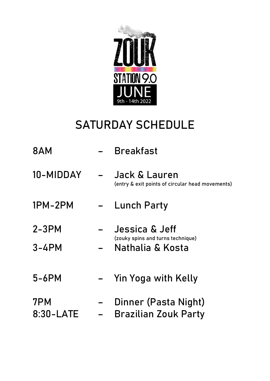

#### **SATURDAY SCHEDULE**

| 8AM                | <b>Breakfast</b>                                                                   |
|--------------------|------------------------------------------------------------------------------------|
| 10-MIDDAY          | Jack & Lauren<br>(entry & exit points of circular head movements)                  |
| 1PM-2PM            | Lunch Party                                                                        |
| $2-3PM$<br>$3-4PM$ | <b>Jessica &amp; Jeff</b><br>(zouky spins and turns technique)<br>Nathalia & Kosta |
| $5-6PM$            | Yin Yoga with Kelly                                                                |
| 7PM<br>8:30-LATE   | Dinner (Pasta Night)<br><b>Brazilian Zouk Party</b>                                |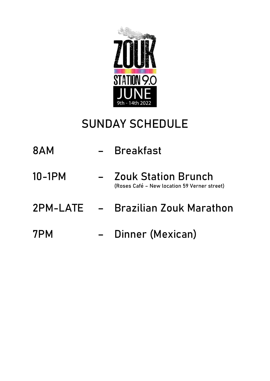

### **SUNDAY SCHEDULE**

- 8AM Breakfast
- 10-1PM Zouk Station Brunch (Roses Café – New location 59 Verner street)
- 2PM-LATE Brazilian Zouk Marathon
- 7PM Dinner (Mexican)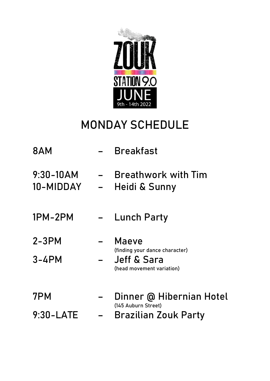

#### **MONDAY SCHEDULE**

| 8AM                      |                          | <b>Breakfast</b>                                                                      |
|--------------------------|--------------------------|---------------------------------------------------------------------------------------|
| $9:30-10AM$<br>10-MIDDAY | $\overline{\phantom{0}}$ | <b>Breathwork with Tim</b><br>Heidi & Sunny                                           |
| 1PM-2PM                  |                          | - Lunch Party                                                                         |
| $2-3PM$                  |                          | Maeve                                                                                 |
| $3-4PM$                  |                          | (finding your dance character)<br><b>Jeff &amp; Sara</b><br>(head movement variation) |
| 7PM                      |                          | Dinner @ Hibernian Hotel                                                              |
| 9:30-LATE                |                          | (145 Auburn Street)<br>Brazilian Zouk Party                                           |